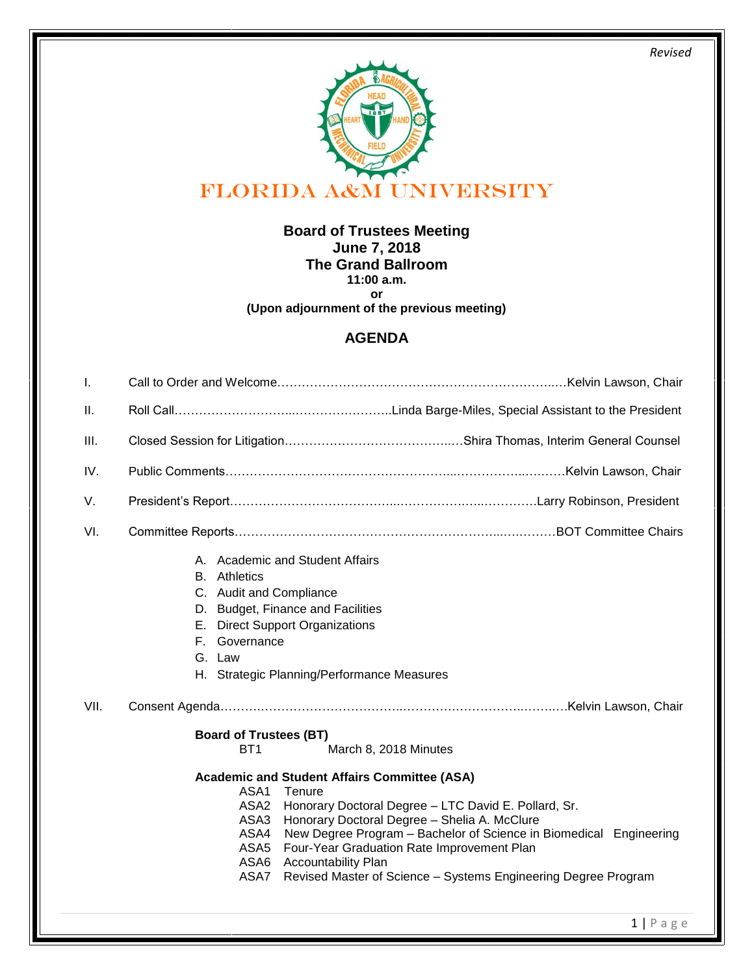*Revised* 



**Board of Trustees Meeting June 7, 2018 The Grand Ballroom 11:00 a.m. or** 

**(Upon adjournment of the previous meeting)**

## **AGENDA**

| I.   |                                                                                                                                                                                                                                                                                                                                                                                                                                                                           |  |  |
|------|---------------------------------------------------------------------------------------------------------------------------------------------------------------------------------------------------------------------------------------------------------------------------------------------------------------------------------------------------------------------------------------------------------------------------------------------------------------------------|--|--|
| Ш.   |                                                                                                                                                                                                                                                                                                                                                                                                                                                                           |  |  |
| III. |                                                                                                                                                                                                                                                                                                                                                                                                                                                                           |  |  |
| IV.  |                                                                                                                                                                                                                                                                                                                                                                                                                                                                           |  |  |
| V.   |                                                                                                                                                                                                                                                                                                                                                                                                                                                                           |  |  |
| VI.  |                                                                                                                                                                                                                                                                                                                                                                                                                                                                           |  |  |
|      | A. Academic and Student Affairs<br><b>B.</b> Athletics<br>C. Audit and Compliance<br>D. Budget, Finance and Facilities<br>E. Direct Support Organizations<br>F. Governance<br>G. Law<br>H. Strategic Planning/Performance Measures                                                                                                                                                                                                                                        |  |  |
| VII. |                                                                                                                                                                                                                                                                                                                                                                                                                                                                           |  |  |
|      | <b>Board of Trustees (BT)</b>                                                                                                                                                                                                                                                                                                                                                                                                                                             |  |  |
|      | BT <sub>1</sub><br>March 8, 2018 Minutes                                                                                                                                                                                                                                                                                                                                                                                                                                  |  |  |
|      | <b>Academic and Student Affairs Committee (ASA)</b><br>ASA1<br>Tenure<br>Honorary Doctoral Degree - LTC David E. Pollard, Sr.<br>ASA <sub>2</sub><br>Honorary Doctoral Degree - Shelia A. McClure<br>ASA3<br>ASA4<br>New Degree Program - Bachelor of Science in Biomedical Engineering<br>ASA <sub>5</sub><br>Four-Year Graduation Rate Improvement Plan<br>ASA6<br><b>Accountability Plan</b><br>ASA7<br>Revised Master of Science - Systems Engineering Degree Program |  |  |